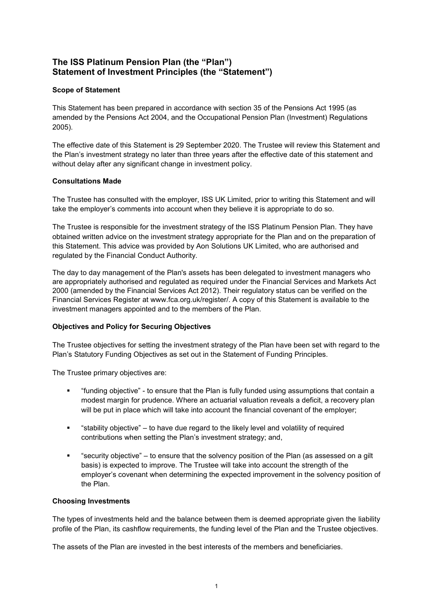# **The ISS Platinum Pension Plan (the "Plan") Statement of Investment Principles (the "Statement")**

# **Scope of Statement**

This Statement has been prepared in accordance with section 35 of the Pensions Act 1995 (as amended by the Pensions Act 2004, and the Occupational Pension Plan (Investment) Regulations 2005).

The effective date of this Statement is 29 September 2020. The Trustee will review this Statement and the Plan's investment strategy no later than three years after the effective date of this statement and without delay after any significant change in investment policy.

## **Consultations Made**

The Trustee has consulted with the employer, ISS UK Limited, prior to writing this Statement and will take the employer's comments into account when they believe it is appropriate to do so.

The Trustee is responsible for the investment strategy of the ISS Platinum Pension Plan. They have obtained written advice on the investment strategy appropriate for the Plan and on the preparation of this Statement. This advice was provided by Aon Solutions UK Limited, who are authorised and regulated by the Financial Conduct Authority.

The day to day management of the Plan's assets has been delegated to investment managers who are appropriately authorised and regulated as required under the Financial Services and Markets Act 2000 (amended by the Financial Services Act 2012). Their regulatory status can be verified on the Financial Services Register at www.fca.org.uk/register/. A copy of this Statement is available to the investment managers appointed and to the members of the Plan.

# **Objectives and Policy for Securing Objectives**

The Trustee objectives for setting the investment strategy of the Plan have been set with regard to the Plan's Statutory Funding Objectives as set out in the Statement of Funding Principles.

The Trustee primary objectives are:

- "funding objective" to ensure that the Plan is fully funded using assumptions that contain a modest margin for prudence. Where an actuarial valuation reveals a deficit, a recovery plan will be put in place which will take into account the financial covenant of the employer;
- "stability objective" to have due regard to the likely level and volatility of required contributions when setting the Plan's investment strategy; and,
- "security objective" to ensure that the solvency position of the Plan (as assessed on a gilt basis) is expected to improve. The Trustee will take into account the strength of the employer's covenant when determining the expected improvement in the solvency position of the Plan.

## **Choosing Investments**

The types of investments held and the balance between them is deemed appropriate given the liability profile of the Plan, its cashflow requirements, the funding level of the Plan and the Trustee objectives.

The assets of the Plan are invested in the best interests of the members and beneficiaries.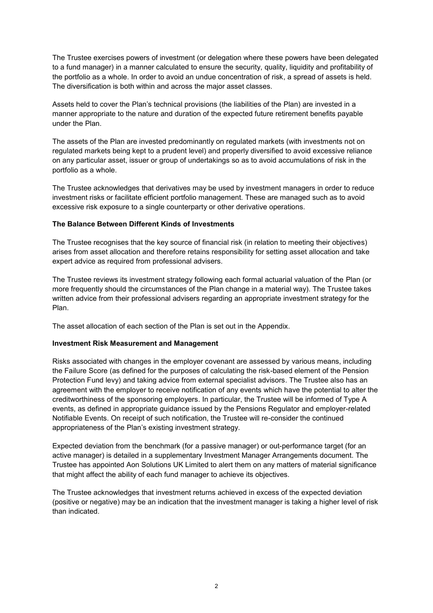The Trustee exercises powers of investment (or delegation where these powers have been delegated to a fund manager) in a manner calculated to ensure the security, quality, liquidity and profitability of the portfolio as a whole. In order to avoid an undue concentration of risk, a spread of assets is held. The diversification is both within and across the major asset classes.

Assets held to cover the Plan's technical provisions (the liabilities of the Plan) are invested in a manner appropriate to the nature and duration of the expected future retirement benefits payable under the Plan.

The assets of the Plan are invested predominantly on regulated markets (with investments not on regulated markets being kept to a prudent level) and properly diversified to avoid excessive reliance on any particular asset, issuer or group of undertakings so as to avoid accumulations of risk in the portfolio as a whole.

The Trustee acknowledges that derivatives may be used by investment managers in order to reduce investment risks or facilitate efficient portfolio management. These are managed such as to avoid excessive risk exposure to a single counterparty or other derivative operations.

## **The Balance Between Different Kinds of Investments**

The Trustee recognises that the key source of financial risk (in relation to meeting their objectives) arises from asset allocation and therefore retains responsibility for setting asset allocation and take expert advice as required from professional advisers.

The Trustee reviews its investment strategy following each formal actuarial valuation of the Plan (or more frequently should the circumstances of the Plan change in a material way). The Trustee takes written advice from their professional advisers regarding an appropriate investment strategy for the Plan.

The asset allocation of each section of the Plan is set out in the Appendix.

## **Investment Risk Measurement and Management**

Risks associated with changes in the employer covenant are assessed by various means, including the Failure Score (as defined for the purposes of calculating the risk-based element of the Pension Protection Fund levy) and taking advice from external specialist advisors. The Trustee also has an agreement with the employer to receive notification of any events which have the potential to alter the creditworthiness of the sponsoring employers. In particular, the Trustee will be informed of Type A events, as defined in appropriate guidance issued by the Pensions Regulator and employer-related Notifiable Events. On receipt of such notification, the Trustee will re-consider the continued appropriateness of the Plan's existing investment strategy.

Expected deviation from the benchmark (for a passive manager) or out-performance target (for an active manager) is detailed in a supplementary Investment Manager Arrangements document. The Trustee has appointed Aon Solutions UK Limited to alert them on any matters of material significance that might affect the ability of each fund manager to achieve its objectives.

The Trustee acknowledges that investment returns achieved in excess of the expected deviation (positive or negative) may be an indication that the investment manager is taking a higher level of risk than indicated.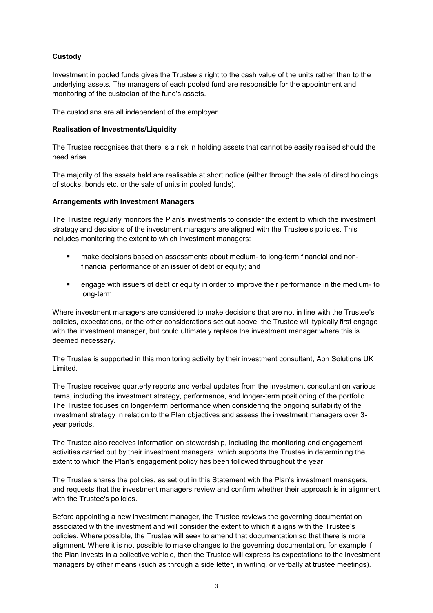# **Custody**

Investment in pooled funds gives the Trustee a right to the cash value of the units rather than to the underlying assets. The managers of each pooled fund are responsible for the appointment and monitoring of the custodian of the fund's assets.

The custodians are all independent of the employer.

#### **Realisation of Investments/Liquidity**

The Trustee recognises that there is a risk in holding assets that cannot be easily realised should the need arise.

The majority of the assets held are realisable at short notice (either through the sale of direct holdings of stocks, bonds etc. or the sale of units in pooled funds).

#### **Arrangements with Investment Managers**

The Trustee regularly monitors the Plan's investments to consider the extent to which the investment strategy and decisions of the investment managers are aligned with the Trustee's policies. This includes monitoring the extent to which investment managers:

- **■** make decisions based on assessments about medium- to long-term financial and nonfinancial performance of an issuer of debt or equity; and
- engage with issuers of debt or equity in order to improve their performance in the medium- to long-term.

Where investment managers are considered to make decisions that are not in line with the Trustee's policies, expectations, or the other considerations set out above, the Trustee will typically first engage with the investment manager, but could ultimately replace the investment manager where this is deemed necessary.

The Trustee is supported in this monitoring activity by their investment consultant, Aon Solutions UK Limited.

The Trustee receives quarterly reports and verbal updates from the investment consultant on various items, including the investment strategy, performance, and longer-term positioning of the portfolio. The Trustee focuses on longer-term performance when considering the ongoing suitability of the investment strategy in relation to the Plan objectives and assess the investment managers over 3 year periods.

The Trustee also receives information on stewardship, including the monitoring and engagement activities carried out by their investment managers, which supports the Trustee in determining the extent to which the Plan's engagement policy has been followed throughout the year.

The Trustee shares the policies, as set out in this Statement with the Plan's investment managers, and requests that the investment managers review and confirm whether their approach is in alignment with the Trustee's policies.

Before appointing a new investment manager, the Trustee reviews the governing documentation associated with the investment and will consider the extent to which it aligns with the Trustee's policies. Where possible, the Trustee will seek to amend that documentation so that there is more alignment. Where it is not possible to make changes to the governing documentation, for example if the Plan invests in a collective vehicle, then the Trustee will express its expectations to the investment managers by other means (such as through a side letter, in writing, or verbally at trustee meetings).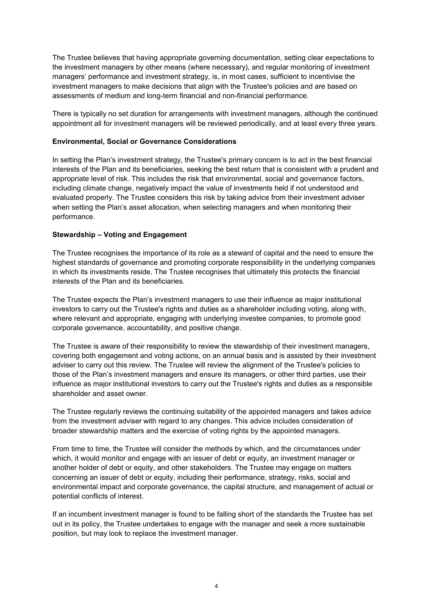The Trustee believes that having appropriate governing documentation, setting clear expectations to the investment managers by other means (where necessary), and regular monitoring of investment managers' performance and investment strategy, is, in most cases, sufficient to incentivise the investment managers to make decisions that align with the Trustee's policies and are based on assessments of medium and long-term financial and non-financial performance.

There is typically no set duration for arrangements with investment managers, although the continued appointment all for investment managers will be reviewed periodically, and at least every three years.

#### **Environmental, Social or Governance Considerations**

In setting the Plan's investment strategy, the Trustee's primary concern is to act in the best financial interests of the Plan and its beneficiaries, seeking the best return that is consistent with a prudent and appropriate level of risk. This includes the risk that environmental, social and governance factors, including climate change, negatively impact the value of investments held if not understood and evaluated properly. The Trustee considers this risk by taking advice from their investment adviser when setting the Plan's asset allocation, when selecting managers and when monitoring their performance.

#### **Stewardship – Voting and Engagement**

The Trustee recognises the importance of its role as a steward of capital and the need to ensure the highest standards of governance and promoting corporate responsibility in the underlying companies in which its investments reside. The Trustee recognises that ultimately this protects the financial interests of the Plan and its beneficiaries.

The Trustee expects the Plan's investment managers to use their influence as major institutional investors to carry out the Trustee's rights and duties as a shareholder including voting, along with, where relevant and appropriate, engaging with underlying investee companies, to promote good corporate governance, accountability, and positive change.

The Trustee is aware of their responsibility to review the stewardship of their investment managers, covering both engagement and voting actions, on an annual basis and is assisted by their investment adviser to carry out this review. The Trustee will review the alignment of the Trustee's policies to those of the Plan's investment managers and ensure its managers, or other third parties, use their influence as major institutional investors to carry out the Trustee's rights and duties as a responsible shareholder and asset owner.

The Trustee regularly reviews the continuing suitability of the appointed managers and takes advice from the investment adviser with regard to any changes. This advice includes consideration of broader stewardship matters and the exercise of voting rights by the appointed managers.

From time to time, the Trustee will consider the methods by which, and the circumstances under which, it would monitor and engage with an issuer of debt or equity, an investment manager or another holder of debt or equity, and other stakeholders. The Trustee may engage on matters concerning an issuer of debt or equity, including their performance, strategy, risks, social and environmental impact and corporate governance, the capital structure, and management of actual or potential conflicts of interest.

If an incumbent investment manager is found to be falling short of the standards the Trustee has set out in its policy, the Trustee undertakes to engage with the manager and seek a more sustainable position, but may look to replace the investment manager.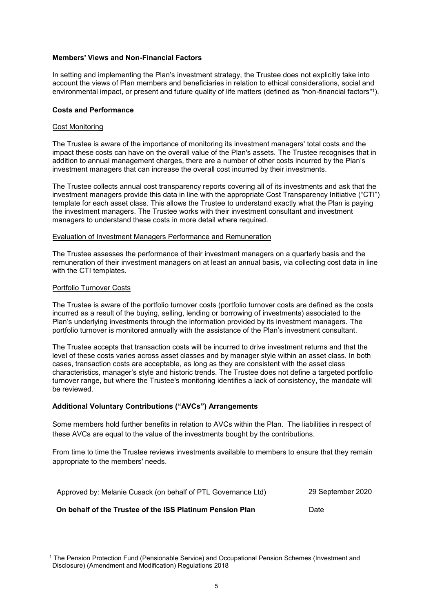#### **Members' Views and Non-Financial Factors**

In setting and implementing the Plan's investment strategy, the Trustee does not explicitly take into account the views of Plan members and beneficiaries in relation to ethical considerations, social and environmental impact, or present and future quality of life matters (defined as "non-financial factors"<sup>1</sup> ).

#### **Costs and Performance**

#### Cost Monitoring

The Trustee is aware of the importance of monitoring its investment managers' total costs and the impact these costs can have on the overall value of the Plan's assets. The Trustee recognises that in addition to annual management charges, there are a number of other costs incurred by the Plan's investment managers that can increase the overall cost incurred by their investments.

The Trustee collects annual cost transparency reports covering all of its investments and ask that the investment managers provide this data in line with the appropriate Cost Transparency Initiative ("CTI") template for each asset class. This allows the Trustee to understand exactly what the Plan is paying the investment managers. The Trustee works with their investment consultant and investment managers to understand these costs in more detail where required.

#### Evaluation of Investment Managers Performance and Remuneration

The Trustee assesses the performance of their investment managers on a quarterly basis and the remuneration of their investment managers on at least an annual basis, via collecting cost data in line with the CTI templates.

#### Portfolio Turnover Costs

The Trustee is aware of the portfolio turnover costs (portfolio turnover costs are defined as the costs incurred as a result of the buying, selling, lending or borrowing of investments) associated to the Plan's underlying investments through the information provided by its investment managers. The portfolio turnover is monitored annually with the assistance of the Plan's investment consultant.

The Trustee accepts that transaction costs will be incurred to drive investment returns and that the level of these costs varies across asset classes and by manager style within an asset class. In both cases, transaction costs are acceptable, as long as they are consistent with the asset class characteristics, manager's style and historic trends. The Trustee does not define a targeted portfolio turnover range, but where the Trustee's monitoring identifies a lack of consistency, the mandate will be reviewed.

#### **Additional Voluntary Contributions ("AVCs") Arrangements**

Some members hold further benefits in relation to AVCs within the Plan. The liabilities in respect of these AVCs are equal to the value of the investments bought by the contributions.

From time to time the Trustee reviews investments available to members to ensure that they remain appropriate to the members' needs.

| Approved by: Melanie Cusack (on behalf of PTL Governance Ltd) | 29 September 2020 |
|---------------------------------------------------------------|-------------------|
| On behalf of the Trustee of the ISS Platinum Pension Plan     | Date              |

<sup>1</sup> The Pension Protection Fund (Pensionable Service) and Occupational Pension Schemes (Investment and Disclosure) (Amendment and Modification) Regulations 2018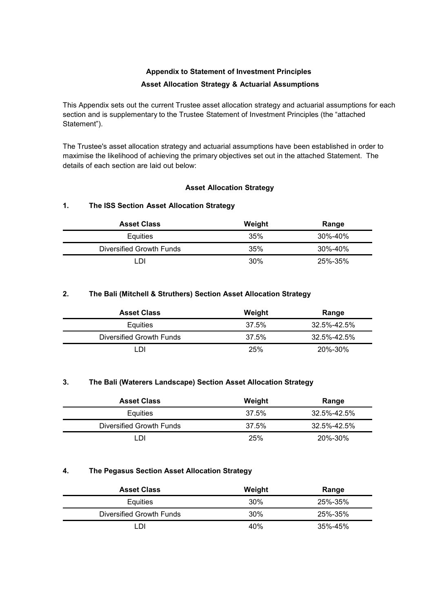# **Appendix to Statement of Investment Principles Asset Allocation Strategy & Actuarial Assumptions**

This Appendix sets out the current Trustee asset allocation strategy and actuarial assumptions for each section and is supplementary to the Trustee Statement of Investment Principles (the "attached Statement").

The Trustee's asset allocation strategy and actuarial assumptions have been established in order to maximise the likelihood of achieving the primary objectives set out in the attached Statement. The details of each section are laid out below:

# **Asset Allocation Strategy**

# **1. The ISS Section Asset Allocation Strategy**

| <b>Asset Class</b>       | Weight | Range   |
|--------------------------|--------|---------|
| Equities                 | 35%    | 30%-40% |
| Diversified Growth Funds | 35%    | 30%-40% |
| -N                       | 30%    | 25%-35% |

# **2. The Bali (Mitchell & Struthers) Section Asset Allocation Strategy**

| <b>Asset Class</b>       | Weight | Range       |
|--------------------------|--------|-------------|
| Equities                 | 37.5%  | 32.5%-42.5% |
| Diversified Growth Funds | 37.5%  | 32.5%-42.5% |
| וח                       | 25%    | 20%-30%     |

## **3. The Bali (Waterers Landscape) Section Asset Allocation Strategy**

| <b>Asset Class</b>       | Weight | Range             |
|--------------------------|--------|-------------------|
| Equities                 | 37.5%  | $32.5\% - 42.5\%$ |
| Diversified Growth Funds | 37.5%  | $32.5\% - 42.5\%$ |
| וח                       | 25%    | 20%-30%           |

# **4. The Pegasus Section Asset Allocation Strategy**

| <b>Asset Class</b>       | Weight | Range   |
|--------------------------|--------|---------|
| Equities                 | 30%    | 25%-35% |
| Diversified Growth Funds | 30%    | 25%-35% |
| וח                       | 40%    | 35%-45% |